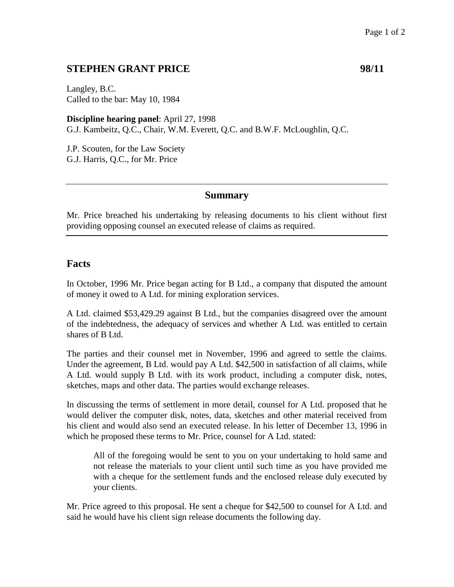## **STEPHEN GRANT PRICE** 98/11

Langley, B.C. Called to the bar: May 10, 1984

**Discipline hearing panel**: April 27, 1998 G.J. Kambeitz, Q.C., Chair, W.M. Everett, Q.C. and B.W.F. McLoughlin, Q.C.

J.P. Scouten, for the Law Society G.J. Harris, Q.C., for Mr. Price

### **Summary**

Mr. Price breached his undertaking by releasing documents to his client without first providing opposing counsel an executed release of claims as required.

### **Facts**

In October, 1996 Mr. Price began acting for B Ltd., a company that disputed the amount of money it owed to A Ltd. for mining exploration services.

A Ltd. claimed \$53,429.29 against B Ltd., but the companies disagreed over the amount of the indebtedness, the adequacy of services and whether A Ltd. was entitled to certain shares of B Ltd.

The parties and their counsel met in November, 1996 and agreed to settle the claims. Under the agreement, B Ltd. would pay A Ltd. \$42,500 in satisfaction of all claims, while A Ltd. would supply B Ltd. with its work product, including a computer disk, notes, sketches, maps and other data. The parties would exchange releases.

In discussing the terms of settlement in more detail, counsel for A Ltd. proposed that he would deliver the computer disk, notes, data, sketches and other material received from his client and would also send an executed release. In his letter of December 13, 1996 in which he proposed these terms to Mr. Price, counsel for A Ltd. stated:

All of the foregoing would be sent to you on your undertaking to hold same and not release the materials to your client until such time as you have provided me with a cheque for the settlement funds and the enclosed release duly executed by your clients.

Mr. Price agreed to this proposal. He sent a cheque for \$42,500 to counsel for A Ltd. and said he would have his client sign release documents the following day.